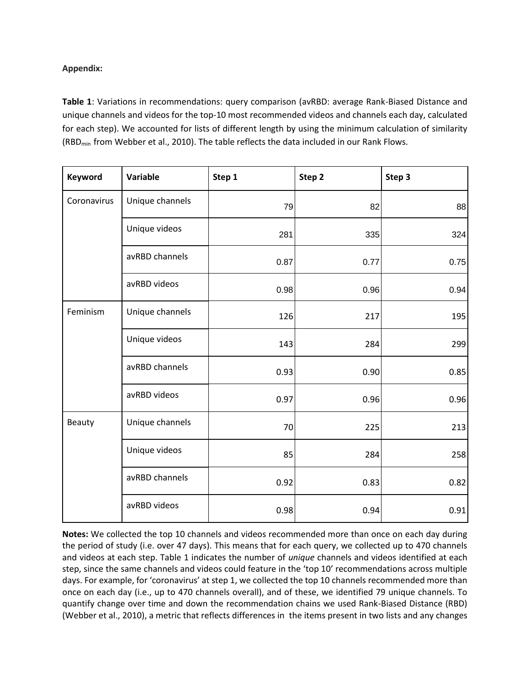## **Appendix:**

**Table 1**: Variations in recommendations: query comparison (avRBD: average Rank-Biased Distance and unique channels and videos for the top-10 most recommended videos and channels each day, calculated for each step). We accounted for lists of different length by using the minimum calculation of similarity (RBDmin from Webber et al., 2010). The table reflects the data included in our Rank Flows.

| Keyword     | Variable        | Step 1 | Step 2 | Step 3 |
|-------------|-----------------|--------|--------|--------|
| Coronavirus | Unique channels | 79     | 82     | 88     |
|             | Unique videos   | 281    | 335    | 324    |
|             | avRBD channels  | 0.87   | 0.77   | 0.75   |
|             | avRBD videos    | 0.98   | 0.96   | 0.94   |
| Feminism    | Unique channels | 126    | 217    | 195    |
|             | Unique videos   | 143    | 284    | 299    |
|             | avRBD channels  | 0.93   | 0.90   | 0.85   |
|             | avRBD videos    | 0.97   | 0.96   | 0.96   |
| Beauty      | Unique channels | 70     | 225    | 213    |
|             | Unique videos   | 85     | 284    | 258    |
|             | avRBD channels  | 0.92   | 0.83   | 0.82   |
|             | avRBD videos    | 0.98   | 0.94   | 0.91   |

**Notes:** We collected the top 10 channels and videos recommended more than once on each day during the period of study (i.e. over 47 days). This means that for each query, we collected up to 470 channels and videos at each step. Table 1 indicates the number of *unique* channels and videos identified at each step, since the same channels and videos could feature in the 'top 10' recommendations across multiple days. For example, for 'coronavirus' at step 1, we collected the top 10 channels recommended more than once on each day (i.e., up to 470 channels overall), and of these, we identified 79 unique channels. To quantify change over time and down the recommendation chains we used Rank-Biased Distance (RBD) (Webber et al., 2010), a metric that reflects differences in the items present in two lists and any changes